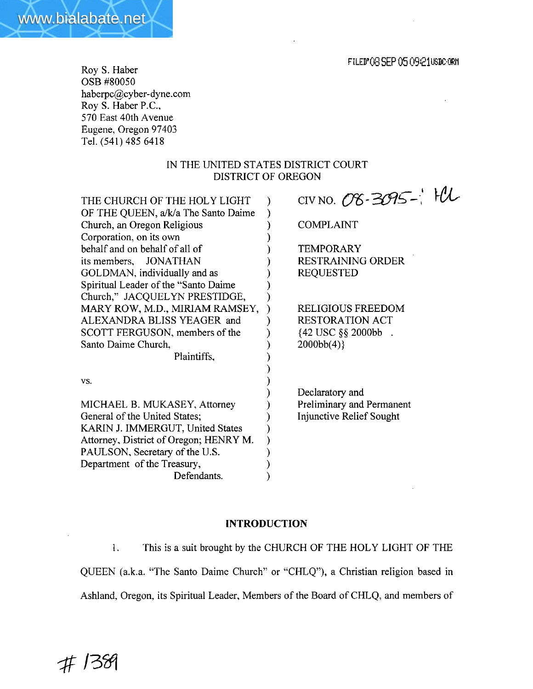Roy S. Haber OSB #80050 haberpc@cyber-dyne.com Roy S. Haber P.C., 570 East 40th Avenue Eugene, Oregon 97403 Tel. (54 1) 485 **641** 8

www.bialabate.net

## IN THE UNITED STATES DISTRICT **COURT**  DISTRICT OF OREGON

| THE CHURCH OF THE HOLY LIGHT           | CIV NO. 08-3095- $\mathcal{H}$ |
|----------------------------------------|--------------------------------|
| OF THE QUEEN, a/k/a The Santo Daime    |                                |
| Church, an Oregon Religious            | COMPLAINT                      |
| Corporation, on its own                |                                |
| behalf and on behalf of all of         | TEMPORARY                      |
| its members, JONATHAN                  | <b>RESTRAINING ORDER</b>       |
| GOLDMAN, individually and as           | <b>REQUESTED</b>               |
| Spiritual Leader of the "Santo Daime"  |                                |
| Church," JACQUELYN PRESTIDGE,          |                                |
| MARY ROW, M.D., MIRIAM RAMSEY,         | <b>RELIGIOUS FREEDOM</b>       |
| ALEXANDRA BLISS YEAGER and             | <b>RESTORATION ACT</b>         |
| SCOTT FERGUSON, members of the         | {42 USC §§ 2000bb.             |
| Santo Daime Church,                    | 2000bb(4)                      |
| Plaintiffs.                            |                                |
|                                        |                                |
| VS.                                    |                                |
|                                        | Declaratory and                |
| MICHAEL B. MUKASEY, Attorney           | Preliminary and Permanent      |
| General of the United States;          | Injunctive Relief Sought       |
| KARIN J. IMMERGUT, United States       |                                |
| Attorney, District of Oregon; HENRY M. |                                |
| PAULSON, Secretary of the U.S.         |                                |
| Department of the Treasury,            |                                |
| Defendants.                            |                                |

## **INTRODUCTION**

1. This is a suit brought by the CHURCH OF THE **HOLY** LIGHT OF THE QUEEN (a.k.a. "The Santo Daime Church" or "CHLQ"), a Christian religion based in Ashland, Oregon, its Spiritual Leader, Members of the Board of CHLQ, and members of

#1389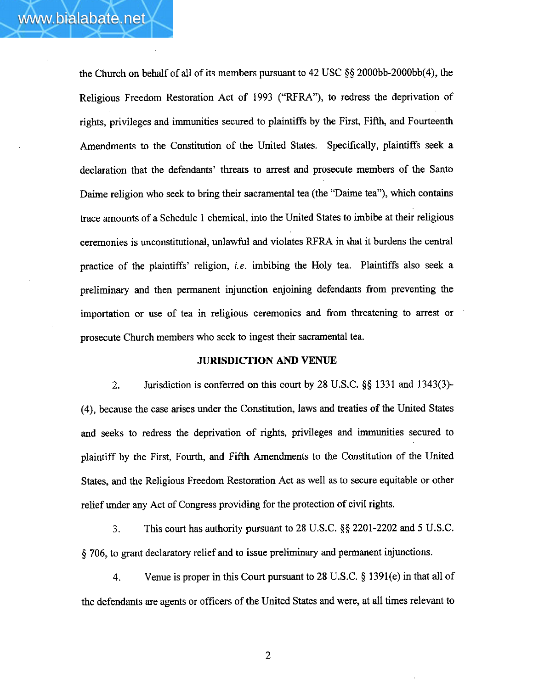the Church on behalf of all of its members pursuant to 42 USC **\$9** 2000bb-2000bb(4), the Religious Freedom Restoration Act of **2993** ("RFRA"), to redress the deprivation of rights, privileges and immunities secured to plaintiffs by the First, Fifth, and Fourteenth Amendments to the Constitution of the United States. Specifically, plaintiffs seek a declaration that the defendants' threats to arrest **and** prosecute members of the Santo Daime religion who seek to bring their sacramental tea (the "Daime tea"), which contains trace amounts of a Schedule I chemical, into the United States to imbibe at their religious ceremonies is unconstitutional, unlawful and violates **WRA** in that it burdens the central practice of the plaintiffs' religion, *i.e.* imbibing the Holy tea. Plaintiffs also seek a preliminary and then permanent injunction enjoining defendants from preventing the importation or use of tea in religious ceremonies and from threatening to arrest or prosecute Church members who seek to ingest their sacramental tea.

### **JURISDICTION AND VENUE**

2. Jurisdiction is conferred on this court by 28 **U.S.C.** *\$5* 133 1 and **1343(3)- (4),** because the case arises under the Constitution, laws and treaties of the United States and seeks to redress the deprivation of rights, privileges and immunities secured to plaintiff by the First, Fourth, and Fifth Amendments to the Constitution of the United States, and the Religious Freedom Restoration Act as well as to secure equitable or other relief under any Act of Congress providing for the protection of civil rights.

**3.** This court has authority pursuant to 28 **U.S.C.** §§ 2201-2202 and 5 U.S.C. **5** 706, to grant declaratory relief and to issue preliminary and permanent injunctions.

4. Venue is proper in tbs Court pursuant to 28 **U.S.C. 5** 1391(e) in that all of the defendants are agents or officers of the United States and were, at all times relevant to

 $\overline{2}$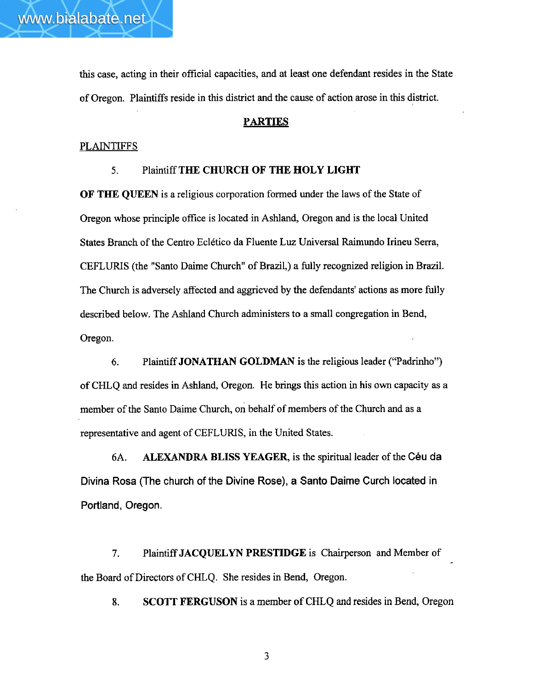this case, acting in their official capacities, and at least one defendant resides in the State of Oregon. Plaintiffs reside in this district and the cause of action arose in this district.

## **PARTIES**

## PLAINTIFFS

### **5.** Plaintiff THE CHURCH OF **THE HOLY LIGHT**

OF THE **QUEEN** is a religious corporation formed under the laws of the State of Oregon whose principle oflice is located in Ashland, Oregon and is the local United States Branch of the Centro Eclético da Fluente Luz Universal Raimundo Irineu Serra, **CEFLURIS** (the "Santo Daime Church" of Brazil,) a fully recognized religion in Brazil. The Church is adversely affected and aggrieved by the defendants' actions as more filly described below. The Ashland Church administers to a small congregation in Bend, **Oregon.** 

6. Plaintiff JONATHAN **GOLDMAN** is the religious leader ("Padrinho") of **CWLQ** and resides in **Ashland,** Oregon. He brings this action in his **own** capacity as a member of the Santo Daime Church, **on** behalf of members of the Church and as a representative and agent of CEFLURIS, in the United States.

**6A. ALEXANDRA** BLISS **YEAGER,** is the spiritual leader of the Ceu **da Divina Rosa (The church of the Divine Rose), a Santo Daime Curch located in Portland, Oregon.** 

7. Plaintiff **JACQWLYN PRESTIDGE** is Chairperson and Member of the Board of Directors of CHLQ. She resides in Bend, **Oregon.** 

**8. SCOTT FERGUSON** is a member of CHLQ and resides in Bend, Oregon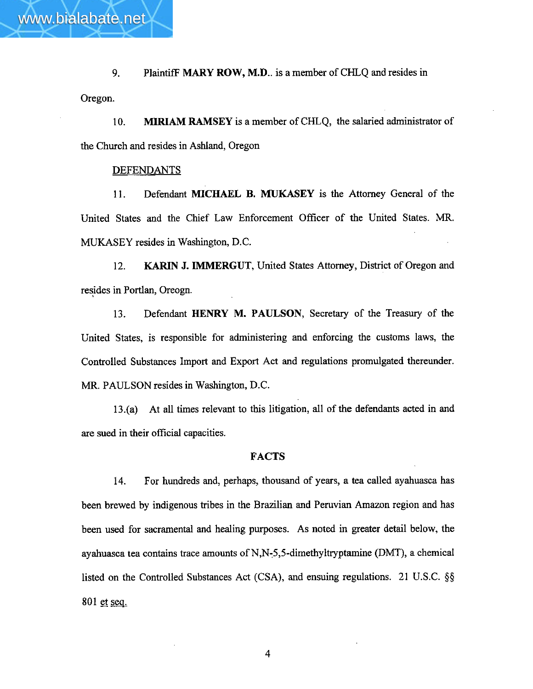**9.** PlaintifF MARY ROW, **M.D..** is a member of CHLQ and resides in Oregon.

10. MIRIAM RAMSEY is a member of CHLQ, the salaried administrator of the Church and resides in Ashland, Oregon

#### DEFENDANTS

www.bialabate.net

**1 1.** Defendant **MICHAEL B. MUKASEY** is the Attorney General of the United States and the Chief Law Enforcement Officer of the United States. MR. MUKASEY resides in Washington, D.C.

12. **KARIN** J. IMMERGUT, United States Attorney, District of Oregon **and**  resides in Portlan, Oreogn.

**13.** Defendant **HENRY M. PAULSON,** Secretary of the Treasury of the United States, is responsible for administering and enforcing the customs laws, the Controlled Substances Import and Export Act and regulations promulgated thereunder. MR. PAULSON resides in Washington, **D.C.** 

**13.(a)** At all times relevant to this litigation, dl of the defendants acted in and are sued in their official capacities.

### **FACTS**

14. For hundreds and, perhaps, thousand of years, a tea called ayahuasca has been brewed by indigenous tribes in the Brazilian and Peruvian Amazon region and has been used for sacramental and healing purposes. As noted in greater detail below, the ayahuasca tea contains trace amounts of **N,N;5,5-dimethyltryptamine** (DMT), a chemical listed on the Controlled Substances Act (CSA), **and** ensuing regulations. 21 U.S.C. *\$5*  801 et sea.

 $\overline{4}$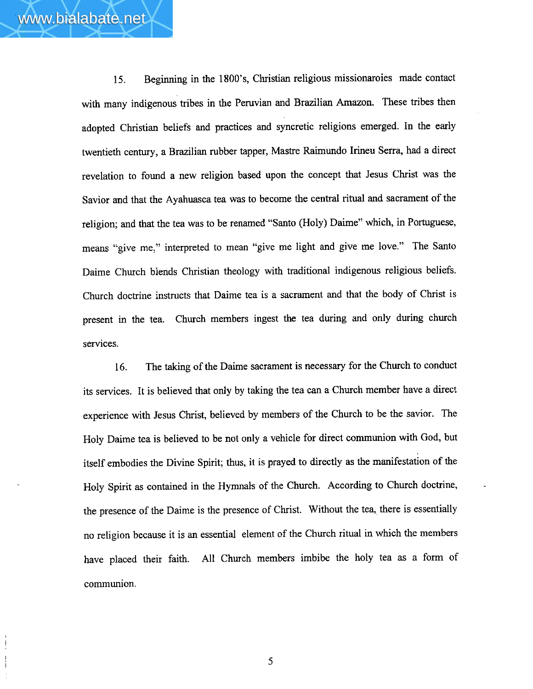**15.** Beginning in the **1800's,** Christian religious missionaroies made contact with **many** indigenous tribes in the Peruvian and Brazilian Amazon. These tribes then adopted Christian beliefs and practices and syncretic religions emerged. In the early twentieth century, a Brazilian rubber tapper, Mastre Raimundo Irineu Serra, had a direct revelation to found a new religion based upon the concept that Jesus Christ was the Savior and that the Ayahuasca tea was to become the central ritual **and** sacrament of the religion; and that the tea was to be renamed "Santo (Holy) Daime" which, in Portuguese, means "give me," interpreted to mean "give me light and give me love." The Santo Daime Church blends Christian theology with traditional indigenous religious beliefs. Church doctrine instructs that Daime tea is a sacrament and that the body of Christ is present in the tea. Church members ingest the tea during and only during church services.

16. The taking of the Daime sacrament is necessary for the Church to conduct its services. It is believed that only by taking the tea can a Church member have a direct experience with Jesus Christ, believed by members of the Church to be the savior. The Holy Daime tea is believed to be not only a vehicle for direct communion with God, but itself embodies the Divine Spirit; thus, it is prayed to directly as the manifestation of the Holy Spirit as contained in the Hymnals of the Church. According to Church doctrine, the presence of the Daime is the presence of **Christ.** Without the tea, there is essentially no religion because it is an essential element of the Church ritual in which the members have placed their faith. All Church members imbibe the holy tea as a form of communion.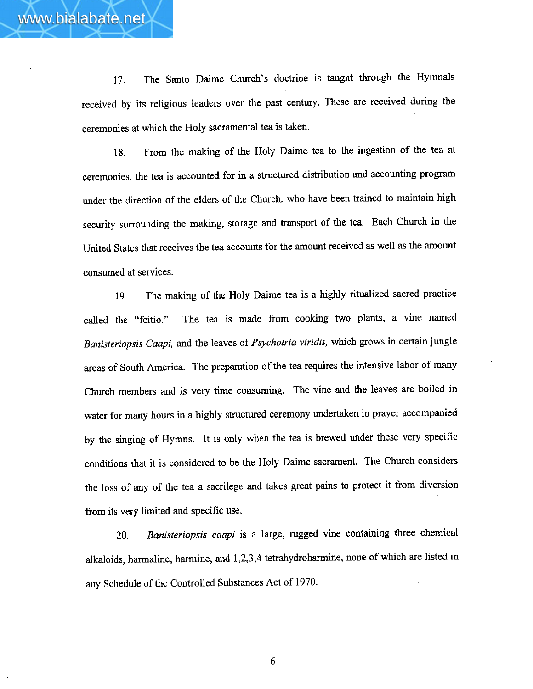17. The Santo **Daime** Church's doctrine is **taught** through the Hymnals received by its religious leaders over the past century. These are received during the ceremonies at which **the** Holy sacramental tea is taken.

**18.** From the making of the Holy Daime tea to the ingestion of the tea at ceremonies, the tea is accounted for in a structured distribution **and** accounting program under the direction of the elders of the Church, who have been trained to maintain high security surrounding the **making,** storage and transport of the tea. Each Church in the United States that receives the tea accounts for the amount received **as** well as the amount consumed at services.

**19.** The **making** of the Holy Daime tea is a highly ritualized sacred practice called the "feitio." The tea is made from cooking two plants, *a* vine named *Banisteriopsis* **Caapi,** and the Leaves of *Psychotria viridis,* which grows in certain jungle areas of South America. The preparation of the tea requires the intensive labor of **many**  Church members and is **very** time consuming. The vine **and** the leaves are **boiled** in water for many hours in **a** highly structured ceremony undertaken in prayer accompanied by the singing of Hymns. It is only when the **tea** is brewed under these very specific conditions that it is considered to be **the** Holy Daime sacrament. The Church considers the loss of **any** of the tea a sacrilege and takes great pains to protect it from diversion from its very limited and specific use.

20. *Banisteriopsis caapi* is a **large,** rugged vine containing three chemical alkaloids, harmaline, harmine, and 1,2,3,4-tetrahydroharmine, none of which are listed in any Schedule of the Controlled Substances Act of 1970.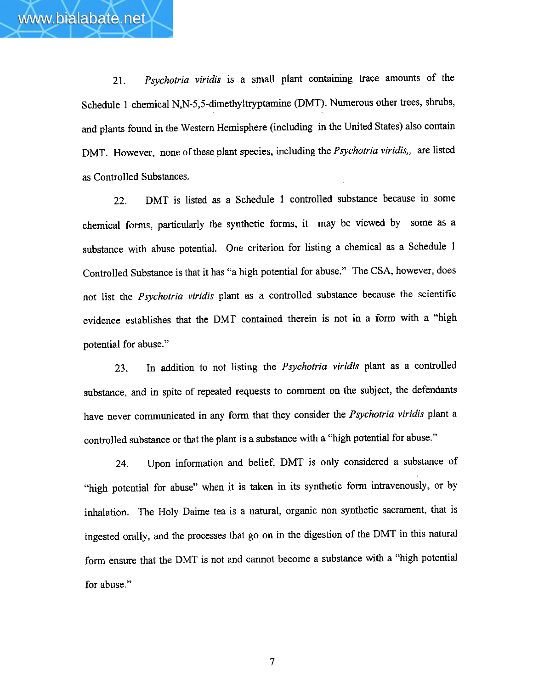**21.** *Psychotria viridis* is a small plant containing trace amounts of the Schedule 1 chemical **N,N-5,5-dimethyltryptamine** (DMT). Numerous other trees, shrubs, and plants found in the Western Hemisphere (including in the United **States)** also contain DMT. However, none of these plant species, including the *Psychotria viridis,,* are listed

*as* Controlled Substances.

www.bialabate.net

**22.** DMT is listed **as** a Schedule 1 controlled substance because in some chemical forms, particularly **the** synthetic forms, it may be viewed by some as a substance with abuse potential. One criterion for listing a chemical as a Schedule 1 Controlled Substance **is** that it has **"a** high potential for abuse." The CSA, however, does not list the *Psychotria viridis* plant as *a* controlled substance because the scientific evidence establishes that the DMT contained therein is not in a form with a "high potential for abuse."

**23.** In addition to not listing the *Psychotria viridis* plant as *a* controlled substance, and in spite of repeated requests to comment on **the** subject, the defendants have never communicated in any form that they consider the *Psychotria viridis* plant a controlled substance or that the plant is a substance **with** a **"high** potential for abuse."

24. Upon information **and** belief, **DMT** is only considered a substance of "high potential for abuse" when it is taken in its synthetic form intravenously, or by inhalation. The Holy Daime tea is a natural, organic non synthetic sacrament, that is ingested orally, **and** the processes that go on in the digestion of the DMT in this natural form ensure that the DMT is not and cannot become a **substance** with a "high potential for abuse."

 $\overline{7}$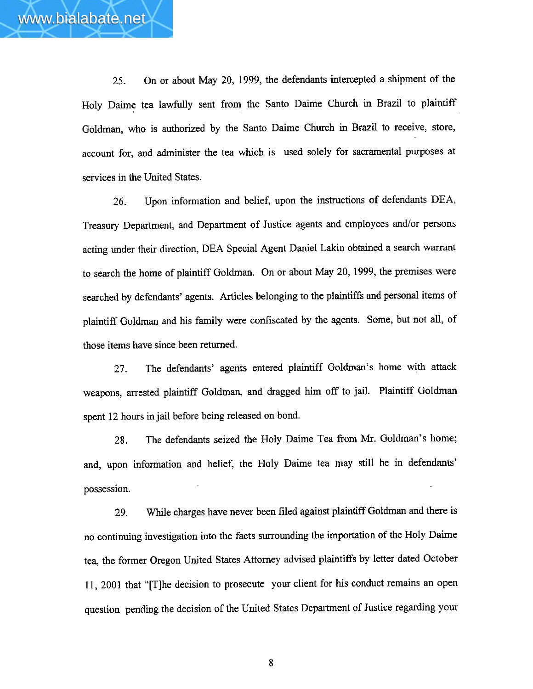25. On or about May 20, 1999, the defendants intercepted a shipment of the Holy Daime tea lawfully sent from the Santo Daime Church in Brazil to plaintiff Goldman, who is authorized by the Santo Daime Church in Brazil to receive, store, account for, and administer the tea which is used solely for sacramental purposes at services in the United States,

26. Upon information and belief, upon the instructions of defendants DEA, Treasury Department, and Department of Justice agents and employees and/or persons acting under their direction, DEA Special Agent Daniel Lakin obtained a search warrant to search the home of plaintiff Goldman. On or about May 20, 1999, the premises were searched by defendants' agents. Articles belonging to the plaintiffs and personal items of plaintiff Goldrnan and his family were confiscated by the agents. Some, but not all, of those items have since been returned.

27. The defendants' agents entered plaintiff Goldman's home with attack weapons, arrested plaintiff Goldman, and dragged him off to jail. Plaintiff Goldman spent 12 hours in jail before being released on bond.

**28.** The defendants seized the Holy Daime Tea from Mr. Goldman's home; and, upon information and belief, the Holy Daime tea may still be in defendants' possession.

29. While charges have never been filed against plaintiff Goldman and there is no continuing investigation into the facts surrounding the importation of the Holy Daime tea, the former Oregon United States Attorney advised plaintiffs by letter dated October 11, 2001 that "[TJhe decision to prosecute yow client for his conduct remains an open question pending the decision of the United States Department of Justice regarding your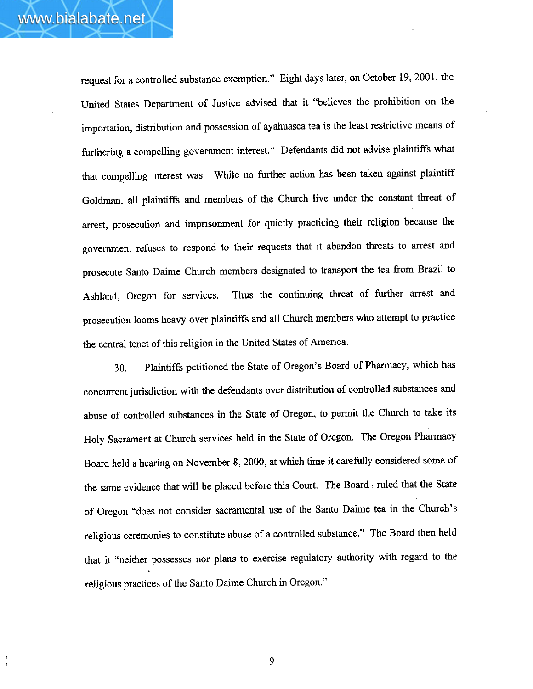request for a controlled substance exemption." Eight days later, on October 19,2001, the United States Department of Justice advised that it "believes the prohibition on the importation, distribution and possession of ayahuasca tea is the least restrictive means of furthering a compelling government interest." Defendants did not advise plaintiffs what that compelling interest was. While no further action has been taken against plaintiff Goldman, all plaintiffs and members of the Church live under the constant threat of arrest, prosecution and imprisonment for quietly practicing their religion because the government refuses to respond to their requests that it abandon threats to arrest and prosecute Santo Daime Church members designated to transport the tea from' Brazil to Ashland, Oregon for services. Thus the continuing threat of **further** arrest and prosecution looms heavy over plaintiffs and all Church members who attempt to practice the central tenet of this religion in the United States of America.

**30.** Plaintiffs petitioned the State of Oregon's Board of Pharmacy, which has concurrent jurisdiction with the defendants over distribution of controlled substances and abuse of controlled substances in the State of Oregon, to permit the Church to take its Holy Sacrament at Church services held in the State of Oregon. The Oregon Pharmacy Board held a hearing on November 8,2000, at which time it carefully considered some of the same evidence that will be placed before this Court. The Board-: ruled that the State of Oregon "does not consider sacramental use of the Santo Daime tea in the Church's religious ceremonies to constitute abuse of a controlled substance." The Board then held that it "neither possesses nor plans to exercise regulatory authority with regard to the religious practices of the Santo Daime Church in Oregon."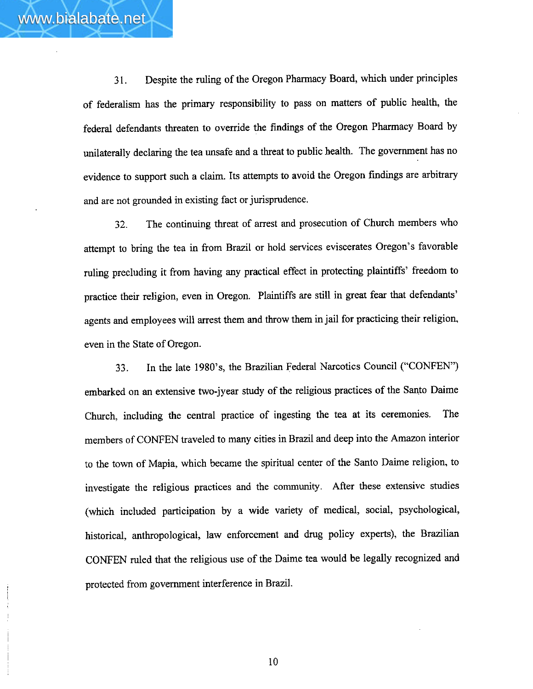**3 1.** Despite the ruling of the Oregon Pharmacy Board, which under principles of federalism has the primary responsibility to pass on matters of public health, the federal defendants threaten to override the findings of the Oregon Pharmacy Board by unilaterally declaring the tea unsafe and a threat to public health. The government has no evidence to support such a claim. Its attempts to avoid the Oregon findings are arbitrary and are not grounded in existing fact or jurisprudence.

**32.** The continuing threat of arrest **and** prosecution of Church members who attempt to bring the tea in from Brazil or hold services eviscerates Oregon's favorable ruling precluding it from having any practical effect in protecting plaintiffs' freedom to practice their religion, even in Oregon. Plaintiffs are still in great **fear** that defendants' agents and employees will arrest them and throw them in jail for practicing their religion, even in the State of Oregon.

33. In the late 1980's, the Brazilian Federal Narcotics Council ("CONFEN") embarked on an extensive two-jyear study of the religious practices of the Santo Daime Church, including the central practice of **ingesting** the tea at its ceremonies. The members of CONFEN traveled to many cities in Brazil **and** deep into the Amazon interior to the town of Mapia, which became the spiritual center of the Santo Daime religion, to investigate the religious practices and the community. After these extensive studies (which included participation by a wide **variety** of medical, social, psychological, historical, anthropological, **law** enforcement and **drug** policy experts), the Brazilian CONFEN ruled that the religious use of the **Daime** tea would be legally recognized and protected from government interference in Brazil.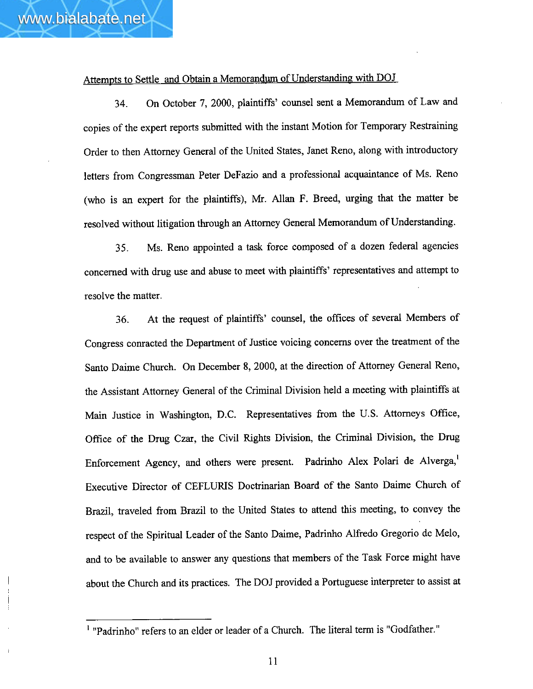#### Attempts to Settle and Obtain a Memorandum of Understanding with DOJ

**34.** On October 7, 2000, plaintiffs' counsel sent a Memorandum of Law and copies of the expert reports submitted with the instant Motion for Temporary Restraining Order to then Attorney General of the United States, Janet Reno, along with introductory letters from Congressman Peter DeFazio and a professional acquaintance of Ms. Reno (who is an expert fox the plaintiffs), Mr. Allan F. Breed, **urging** that the matter be resolved without litigation through an Attorney General Memorandum of Understanding.

**35.** Ms. Reno appointed a task force composed of a dozen federal agencies concerned with drug use and abuse to meet with plaintiffs' representatives and attempt to resolve the matter.

**36.** At the request of plaintiffs' counsel, the offices of several Members of Congress conracted the Department of Justice voicing concerns over the treatment of the Santo Daime Church. On December 8,2000, at the direction of Attorney General Reno, the Assistant Attorney General of the Criminal Division held a meeting with plaintiffs at Main Justice in Washington, D.C. Representatives from the U.S. Attorneys Office, Office of the Drug Czar, the Civil Rights Division, the Criminal Division, the Drug Enforcement Agency, and others were present. Padrinho Alex Polari de Alverga,<sup>1</sup> Executive Director of CEFLURTS Doctrinarian Board of the Santo Daime Church of Brazil, traveled from Brazil to the United States to attend this meeting, to convey the respect of the Spiritual Leader of the Smto Daime, Padrinho Alfredo Gregorio de Melo, and to be available to answer any questions that members of the Task Force might have about the Church and its practices. The DOJ provided a Portuguese interpreter to assist at

<sup>&</sup>lt;sup>1</sup> "Padrinho" refers to an elder or leader of a Church. The literal term is "Godfather."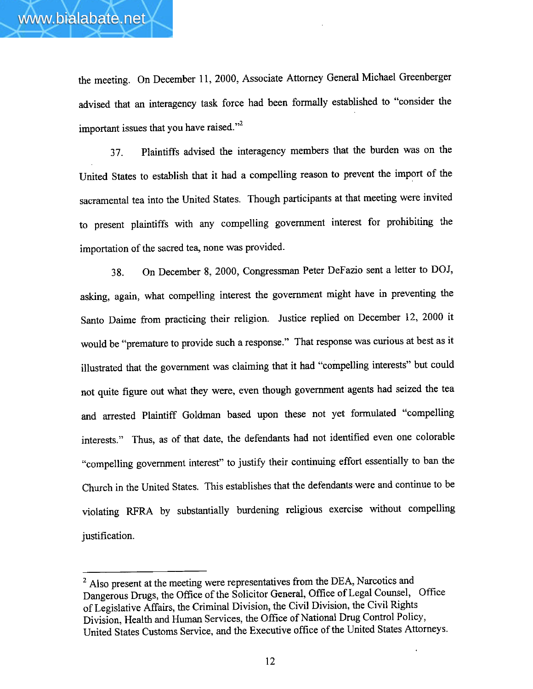the meeting. On December 11, 2000, Associate Attorney General Michael Greenberger advised that an interagency task force had been formally established to "consider the important issues that you have raised."<sup>2</sup>

**37.** Plaintiffs advised the interagency members that the burden was on the United States to establish that it had a compelling reason to prevent the import of the sacramental tea into the United States. Though participants at that meeting were invited to present plaintiffs with **any** compelling government interest for prohibiting the importation of the sacred tea, none was provided.

**38.** On December 8, 2000, Congressman Peter DeFazio sent a letter to DOJ, asking, again, what compelling interest the government might have in preventing the Santo Daime from practicing their religion. Justice replied on December 12, 2000 it would be "premature to provide such a response." That response was curious at best as it illustrated that the government was claiming that it had "compelling interests" but could not quite figure out what they were, even though government agents had seized the tea and arrested Plaintiff Goldman based upon these not yet formulated "compelling interests." Thus, as of that date, the defendants had not identified even one colorable "compelling government interest" to justify their continuing effort essentially to ban the Church in the United States. This establishes that the defendantswere and continue to be violating **RFRA** by substantially burdening religious exercise without compelling justification.

<sup>&</sup>lt;sup>2</sup> Also present at the meeting were representatives from the DEA, Narcotics and Dangerous Drugs, the Ofice of the Solicitor General, Office of Legal Counsel, Office of Legislative Affairs, the Criminal Division, the Civil Division, the Civil Rights Division, Health and Human Services, the Office of National **Drug** Control Policy, United States Customs Service, and the Executive office of the United States Attorneys.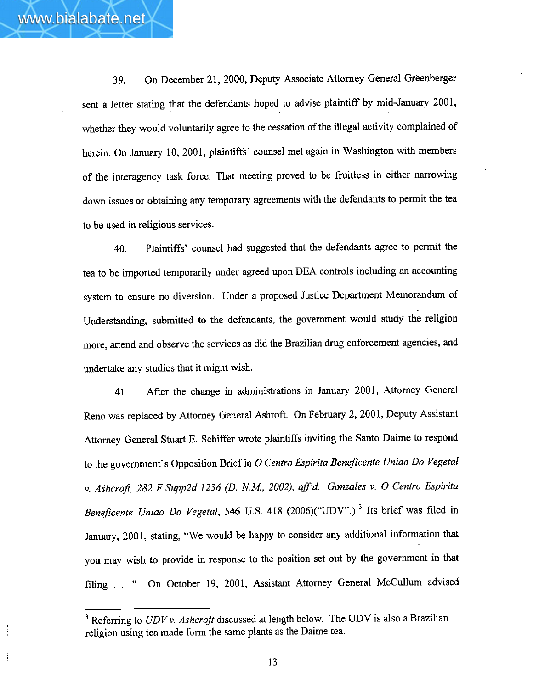**39.** On December 21, 2000, Deputy Associate Attorney General Greenberger sent a letter stating that the defendants hoped to advise plaintiff by mid-January 2001, whether they would voluntarily agree to the cessation of the illegal activity complained of herein. On January 10, 2001, plaintiffs' counsel met again in Washington with members of the interagency task force. That meeting proved to be fruitless in either narrowing down issues or obtaining any temporary agreements with the defendants to permit **the** tea to be used in religious services.

www.bialabate.net

**40.** Plaintiffs' counsel had suggested that the defendants agree to permit the tea to be imported temporarily under agreed upon DEA controls including an accounting system to ensure no diversion. Under a proposed Justice Department Memorandum of Understanding, submitted to the defendants, **the** government would study the religion more, attend **and** observe the services as did the Brazilian drug enforcement **agencies,** and undertake any studies that it might wish.

41. After the change in administrations in **January** 2001, Attorney General Reno **was** replaced by Attorney General Ashroft. On February 2,200 1, **Deputy** Assistant Attorney General **Stuart E.** Schiffer **wrote** plaintiffs inviting the Santo Daime to respond to the government's Opposition Brief in **0** *Centro Espirita BeneJicente* **Uniao** *Do Vegetal v.* **Ashcrop,** *282* **F.Supp2d** *1236* **(D.** *N.M., 2002), afd, Gonzales* **v. 0** *Centro Espirita Beneficente Uniao Do Vegetal, 546 U.S. 418 (2006)("UDV".)<sup>3</sup> Its brief was filed in* **January,** 2001, stating, "We would be happy to consider any additional information that you may wish to provide in response to the position set out by the government in that filing . . ." On October 19, 2001, Assistant Attorney General McCullum advised muary, 2001, stating, "W<sub>u</sub> may wish to provide<br>ing . . ." On October<br>Referring to *UDV v. Ashe* 

<sup>&</sup>lt;sup>3</sup> Referring to *UDV v. Ashcroft* discussed at length below. The UDV is also a Brazilian religion using tea made form the same plants as the Daime tea.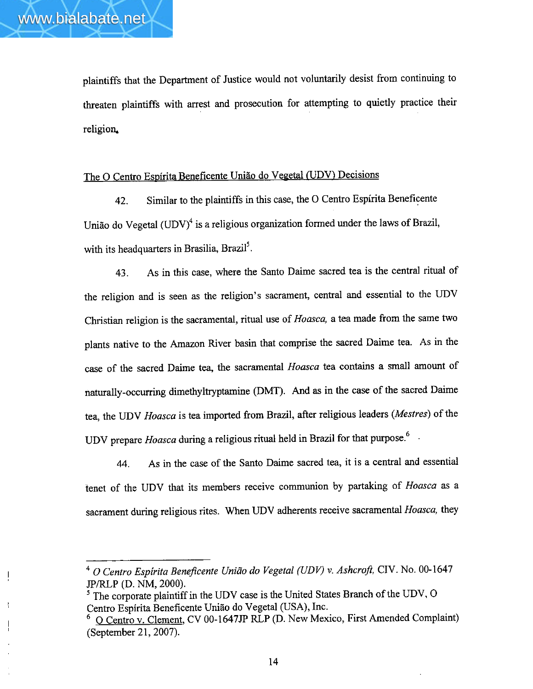plaintiffs that the Department of Justice would not voluntarily desist from continuing to threaten plaintiffs with arrest and prosecution for attempting to quietly practice their religion.

# The O Centro Espírita Beneficente União do Vegetal (UDV) Decisions

42. Similar to the plaintiffs in this case, the 0 Centro Espirita Beneficente União do Vegetal  $(UDV)^4$  is a religious organization formed under the laws of Brazil, with its headquarters in Brasilia, Brazil<sup>5</sup>.

43. **As** in this case, where the Santo **Daime** sacred tea is the central ritual of the religion and is seen as **the** religion's sacrament, central and essential to the UDV Christian religion is the **sacramental,** ritual use of *Hoasca, a* tea made from the same two **plants** native to the Amazon River **basin** that comprise the **sacred** Daime tea. As in the case of the sacred Daime tea, the sacramental *Hoasca* tea contains a small amount of naturally-occurring dimethyltryptamine **(DMT). And as** in the case of the sacred Dime tea, the **UDV** *Hoasca* is tea imported from Brazil, **after** religious leaders *(Mestres)* of the UDV prepare *Hoasca* during a religious ritual held in Brazil for that **purpose.6** -

44. **As** in the case of the Santo Daime sacred tea, it is a central **and** essential tenet of the UDV that its members receive communion by partaking of *Hoasca* as a sacrament **during** religious rites. When UDV adherents receive sacramental *Hoasca,* they

**<sup>0</sup>** *Centro Espirita Benepcente Unirlo* **do** *Vegetal* **(UDY)** *v. Ashcmji,* CIV. No. 00-1647 JP/RLP **(D.** NM, 2000).

**<sup>5</sup>**The corporate plaintiff in the UDV case is the United States **Branch** of the **UDV,** 0 Centro Espírita Beneficente União do Vegetal (USA), Inc.

*<sup>6</sup>*0 Centro **v.** Clement, CV **00-1647JP IU,P** (D. New Mexico, First Amended Complaint) (September 21, 2007).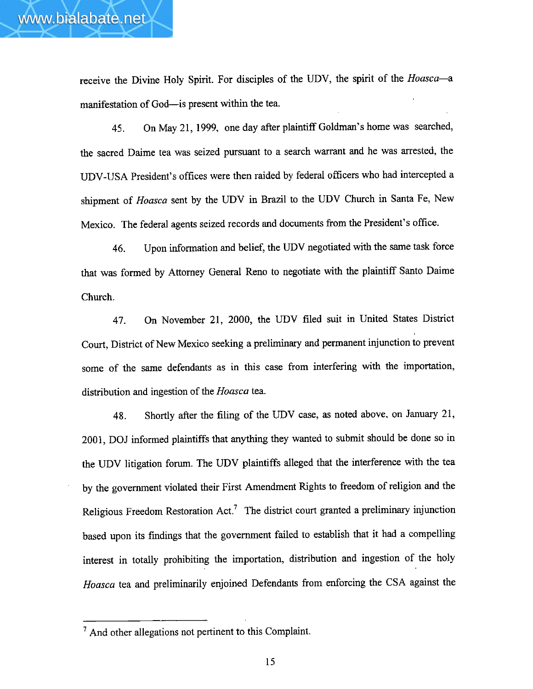receive the Divine Holy Spirit. For disciples of the UDV, the spirit of the *Hoasca*-a manifestation of God-is present within the tea.

**45.** On May 2 1, 1999. one **day** after plaintiff Goldman's home **was** searched, the sacred Daime **tea** was seized pursuant to a search **warrant** and he was arrested, the UDV-USA President's offices were then raided by federal officers who had intercepted a shipment of *Hoasca* sent by the UDV in Brazil to the **UDV** Church in Santa Fe, **New**  Mexico. The federal agents seized records **and** documents from the President's office.

**46.** Upon information and belief, the UDV negotiated with the same task force that was formed by Attorney General Reno to negotiate with the plaintiff Santo Daime Church.

47. On November 21, 2000, the UDV filed suit in United States District Court, District of New Mexico seeking **a** preliminary and permanent injunction to prevent some of the same defendants as in this case from interfering with the importation, distribution and ingestion of the *Hoasca* tea.

**48.** Shortly after the filing of the UDV case, as noted above, on January 21, 2001, **DOJ** informed plaintiffs that anything they wanted to submit should be done so in the UDV litigation fom. The **UDV** plaintiffs alleged that the interference with the tea by the government violated their First Amendment Rights to freedom of religion and the Religious Freedom Restoration  $Act.^7$  The district court granted a preliminary injunction based upon its findings that the government failed to establish that it had a cornpelljng interest in totally prohibiting the importation, distribution and ingestion of the holy *Hoasca* tea and preliminariIy enjoined Defendants from enforcing the CSA against the

<sup>&#</sup>x27; And other allegations not pertinent to this Complaint.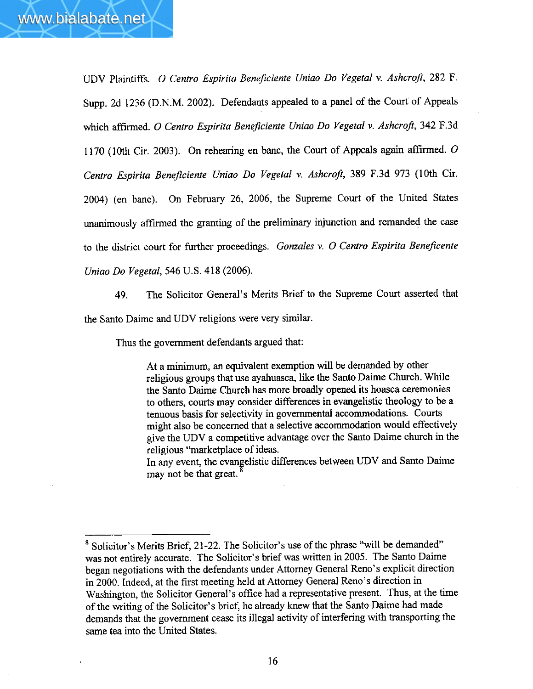UDV Plaintiffs. 0 Centro *Espirita Beneficiente Uniao Do Vegetal* **v.** *Ashcrqfi,* **282 F.**  Supp. 2d 1236 (D.N.M. 2002). Defendants appealed to a panel of the Court of Appeals which affirmed. **0** *Centro Espirida Beneficiente Uniao Do Vegetal* **v.** *Ashcroft, 342* **F.3d**  1170 (10th Cir. 2003). On rehearing en *banc,* the Court of Appeals again affirmed. **0**  *Centro Espirita BeneJiciente Uniao Do Vegetal* **v.** *Ashcroft, 389* F.3d 973 (10th Cir. 2004) (en banc). On February 26, 2006, the Supreme Court of the United States unanimously affirmed the granting of the preliminary injunction and remanded the case to the district court for further proceedings. *Gomules* **v. 0** *Centro* **Espirita** *Beneficente Uniao Do Vegetal, 546* **U.S.** *4* **18** (2006).

49. The Solicitor General's Merits Brief to the Supreme Court asserted that

the Santo Daime and UDV religions were very similar.

Thus the government defendants argued that:

At a minimum, an equivalent exemption will be demanded by other religious groups that use ayahuasca, like the Santo Daime Church. While the Santo Daime Church has more broadly opened its hoasca ceremonies to others, courts may consider differences in evangelistic theology to be a tenuous basis for selectivity in governmental accommodations. Courts **might** also be concerned that a selective accommodation would effectively give the UDV a competitive advantage over the Santo Daime church in **the**  religious "marketplace of ideas.

In any event, the evangelistic differences between UDV and Santo Daime may not be that great. **<sup>4</sup>**

<sup>&</sup>lt;sup>8</sup> Solicitor's Merits Brief, 21-22. The Solicitor's use of the phrase "will be demanded" was not entirely accurate. The Solicitor's brief **was** written in 2005. The Santo Daime began negotiations with the defendants under Attorney General Reno's explicit direction in 2000. Indeed, at the first meeting held at Attorney General Reno's direction in Washington, the Solicitor General's office had a representative present. Thus, at **the** time of the writing of the Solicitor's brief, he already knew that the Santo Daime had made demands that the government cease its illegal activity of interfering with transporting the same tea into the United States.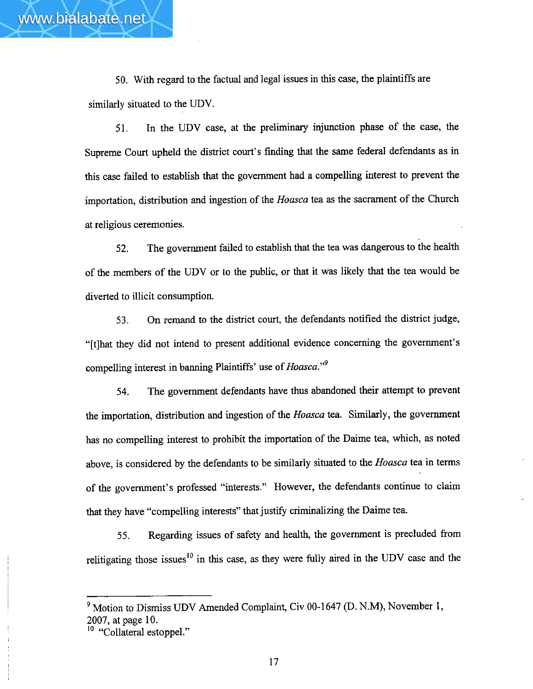50. With regard to the factual and legal issues in this case, the plaintiffs are similarly situated to the UDV.

**51.** In the UDV case, at the preliminary injunction phase of the case, the Supreme Court upheld the district court's finding that the same federal defendants as in this case failed to establish that the government had a compelling interest to prevent the importation, distribution and ingestion of the **Hoasca** tea as the sacrarnent.of the Church at religious ceremonies.

**52. The** government failed to establish that the tea was dangerous to the health of the members of the UDV or to the public, or that it was likely that the tea would be diverted to illicit consumption.

**53.** On remand to the district court, the defendants notified the district judge, "[tlhat they did not intend to present additional evidence concerning the government's compelling interest in banning Plaintiffs' use of *Hoasca*."<sup>9</sup>

**54. The** government defendants have thus abandoned their attempt to prevent the importation, distribution and ingestion of the *Hoasca* tea. Similarly, the government has no compelling interest to prohibit the importation of **the** Daime tea, which, as noted above, is considered by the defendants to be similarly situated to the *Hoasca* tea in terms of the government's professed "interests." However, the defendants continue to claim that they have "compelling interests" that justify criminalizing the Daime tea.

**55.** Regarding issues of safety **and** health, the government is precluded from relitigating those issues<sup>10</sup> in this case, as they were fully aired in the UDV case and the

Motion to Dismiss UDV Amended Complaint, Civ 00-1 647 **(D. N-M), November** 1, 2007, at page 10.

<sup>&</sup>lt;sup>10</sup> "Collateral estoppel."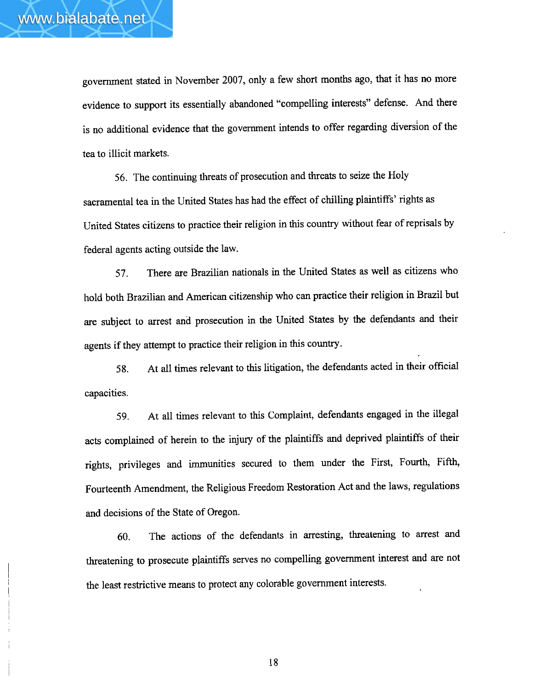government stated in November 2007, only a few short months ago, that it has no more evidence to support its essentially abandoned "compelling interests" defense. And there is no additional evidence that the government intends to offer regarding diversion of the tea to illicit markets.

56. The continuing threats of prosecution and threats to seize the Holy sacramental tea in the United States has had the effect of chilling plaintiffs' rights as United States citizens to practice their religion in this country without fear of reprisals by federal agents acting outside the law.

**57.** There are Brazilian nationals in the United States as well as citizens who hold both Brazilian and American citizenship who can practice their religion in Brazil but are subject to arrest and prosecution in the United States by the defendants and their agents if they attempt to practice their religion in **this** country.

**58.** At all times relevant to this litigation, the defendants acted in their official capacities.

**59.** At all times relevant to this Complaint, defendants engaged in the illegal acts complained of herein to the **injury** of the plaintiffs and deprived plaintiffs of their rights, privileges and immunities secured to them under the First, Fourth, Fifth, Fourteenth Amendment, the Religious Freedom Restoration Act and the laws, regulations and decisions of the State of Oregon.

**60.** The actions of the defendants in arresting, threatening to arrest and threatening to prosecute plaintiffs serves no compelling government interest and are not the least restrictive means to protect any colorable government interests.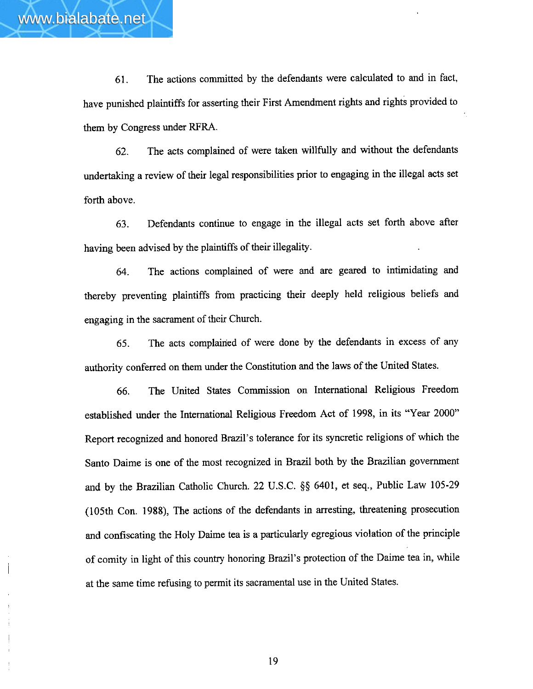

**61.** The actions committed by the defendants were calculated to and in fact, have punished plaintiffs for asserting their First Amendment rights and rights provided to them by Congress under **RFRA.** 

**62.** The acts complained of were taken willfully and without the defendants undertaking a review of their legal responsibilities prior to engaging in the illegal acts set forth above.

**63.** Defendants continue to engage in the illegal acts set forth above after having been advised by the plaintiffs of their illegality.

**64.** The actions complained of were **and** are geared to intimidating **and**  thereby preventing plaintiffs from practicing their deeply held religious beliefs and engaging in the sacrament of their Church.

65. The acts complained of were done by the defendants in excess of any authority conferred on them under the Constitution and the laws of the United States.

66. The United States Commission on International Religious Freedom established under the International Religious Freedom Act of 1998, in its "Year 2000" Report recognized **and** honored Brazil's tolerance for its syncretic religions of which the Santo Daime is one of the most recognized in Brazil both by the Brazilian government and by the Brazilian Catholic Church. 22 U.S.C. §\$ 6401, et seq., Public Law 105-29 (105th Con. **1988),** The actions of the defendants in arresting, threatening prosecution and confiscating the Holy Daime tea is a particularly egregious violation of the principle of comity in light of this country honoring Brazil's protection of the Daime tea in, while at the same time refusing to permit its sacramental use in the United States.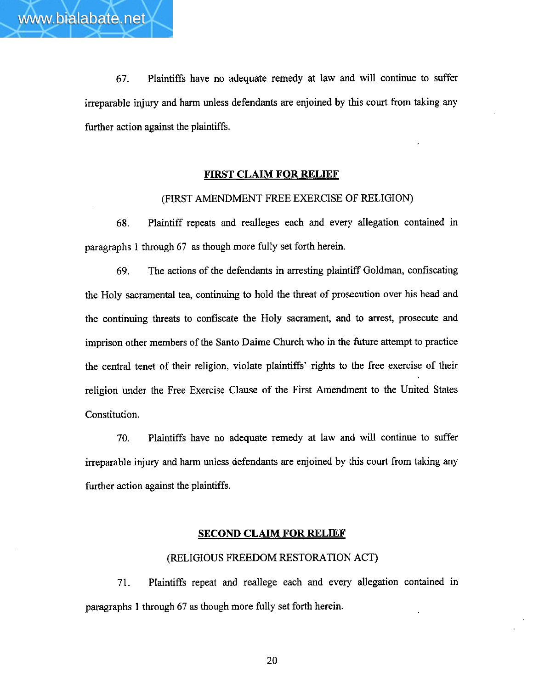**67.** Plaintiffs have no adequate remedy at law and will continue to suffer irreparable injury **and** harm unless defendants are enjoined by this court from taking **any**  further action against the plaintiffs.

## **FIRST CLAIM FOR RELIEF**

### (FIRST AMENDMENT FREE EXERCISE OF RELIGION)

**68.** Plaintiff repeats and realleges each and every allegation contained in paragraphs 1 through 67 as though more fully set forth herein.

**69.** The actions of the defendants in arresting plaintiff Goldman, confiscating the Holy sacramental tea, continuing to hold the threat of prosecution over his head and the continuing threats to confiscate **the** Holy sacrament, and to arrest, prosecute and imprison other members of the Santo Daime Church who in the future attempt to practice the central tenet of their religion, violate plaintiffs' rights to the free exercise of their religion under the Free Exercise Clause of the First Amendment to the United States Constitution.

**70.** Plaintiffs have no adequate remedy at law and will continue to suffer irreparable injury and harm unless defendants are enjoined by this court from taking **any**  further action against the plaintiffs.

#### **SECOND CLAIM FOR RELIEF**

## **(RELIGIOUS FREEDOM RESTORATION ACT)**

71. Plaintiffs repeat and reallege each **and** every allegation contained in paragraphs 1 through 67 as though **more** fully set forth herein.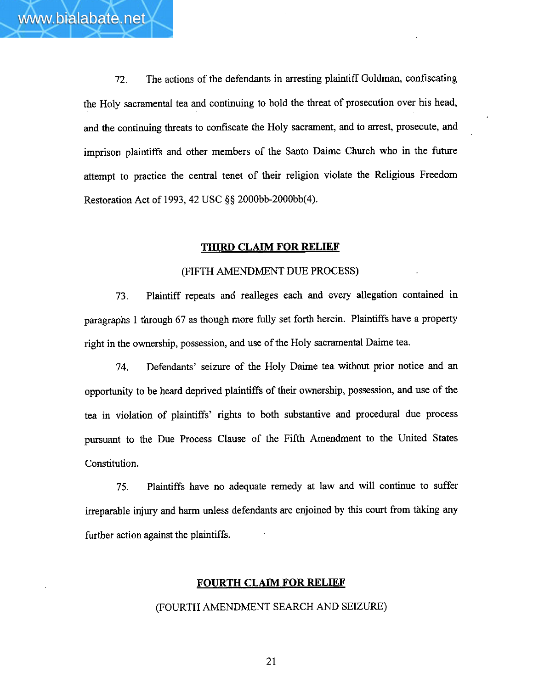72. The actions of the defendants in arresting plaintiff Goldman, confiscating the Holy sacramental tea **and** continuing to hold the threat of prosecution over his head, **and** the continuing threats to confiscate the Holy sacrament, and to arrest, prosecute, and imprison plaintiffs and other members of the Santo Daime Church who in the future attempt to practice the central tenet of their religion violate the Religious Freedom Restoration Act of **1993,42** USC **8s** 2000bb-2000bb(4).

## **THIRD CLAIM FOR RELIEF**

### **(FIFTH** AMENDMENT DUE **PROCESS)**

**73.** Plaintiff repeats and realleges each and every allegation contained in paragraphs 1 through 67 as though more fully set forth herein. Plaintiffs have a property right in the ownership, possession, and use of the Holy sacramental Daime tea.

74. Defendants' seizure of the Holy Daime tea without prior notice and **an**  opportunity to be heard deprived plaintiffs of their ownership, possession, **and** use of the tea in violation of plaintiffs' rights to both substantive and procedural due process pursuant to the Due Process Clause of the Fifth Amendment to the United States Constitution.

**75.** Plaintiffs have no adequate remedy at law and will continue to suffer irreparable injury and harm unless defendants are enjoined by this court from thking **any**  further action against the plaintiffs.

### **FOURTH CLAIM FOR RELIEF**

### (FOURTH AMENDMENT **SEARCH AND SEIZURE)**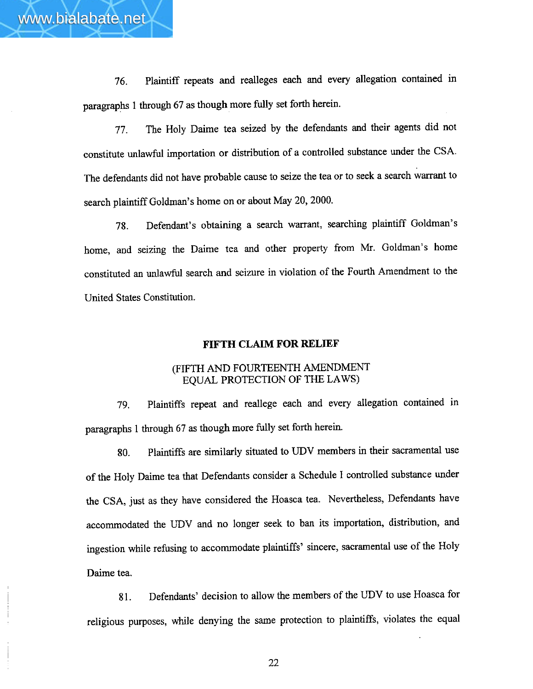**76.** Plaintiff repeats and realleges each and **every** allegation contained in paragraphs 1 through 67 as though more **fully** set forth herein.

www.bialabate.net

**77.** The Holy Daime tea seized by the defendants and their agents did not constitute unlawful importation or distribution of a controlled substance under the CSA. The defendants did not have probable cause to seize the tea or to seek a search warrant to search plaintiff Goldman's home on or about May 20, 2000.

**78.** Defendant's obtaining a search warrant, searching plaintiff Goldman's home, and seizing the Daime tea and other property from Mr. Goldman's home constituted **an** unlawful search and seizure in violation of the Fourth Amendment to the United States Constitution.

### **FIFTH CLAIM FOR RELIEF**

## (FIFTH **AND** FOURTEENTH AMENDMENT EQUAL PROTECTION **OF THE LAWS)**

79. Plaintiffs repeat and reallege each and every allegation contained in paragraphs 1 through 67 as though more fully set forth herein.

**80.** Plaintiffs are similarly situated to **UDV** members in their sacramental use of the Holy Daime tea that Defendants consider a Schedule I controlled substance under the CSA, just as they have considered the Hoasca tea. Nevertheless, Defendants have accommodated the UDV and no longer seek to ban its importation, distribution, and ingestion while refixing to accommodate plaintiffs' sincere, sacramental use of the Holy Daime tea.

**81.** Defendants' decision to allow the members of the **UDV** to use Hoasca for religious purposes, while denying the same protection to plaintiffs, violates the equal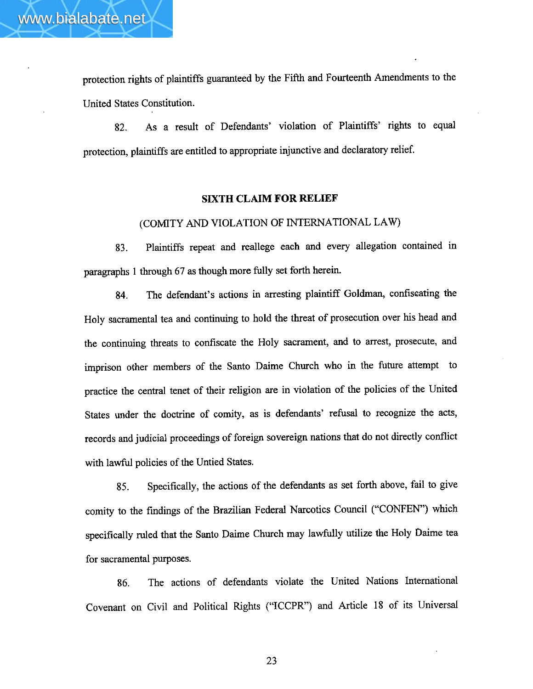protection rights of plaintiffs guaranteed by the Fifth and Fourteenth Amendments to the United States Constitution.

82. As a result of Defendants' violation of Plaintiffs' rights to equal protection, plaintiffs are entitled to appropriate injunctive **and** declaratory relief.

# **SIXTH CLAIM FOR RELIEF**

(COMITY **AND VIOLATION OF INTERNATIONAL LAW)** 

**83.** Plaintiffs repeat and reallege each and every allegation contained in paragraphs 1 through 67 as though more fully set forth herein.

**84.** The defendant's actions in arresting plaintiff Goldrnan, confiscating the Holy sacramental tea and continuing to hold the threat of prosecution over his head **and**  the continuing threats to confiscate the Holy sacrament, and to arrest, prosecute, and imprison **other** members of the Santo Daime Church who in the future attempt to practice the central tenet of their religion are in violation of the policies of the United States under the doctrine of comity, as is defendants' refusal to recognize the acts, records and judicial proceedings of foreign sovereign nations that do not directly conflict with lawful policies of the Untied **States.** 

**85.** Specifically, the actions of the defendants as set forth above, fail to **give**  comity to the findings of the Brazilian Federal Narcotics Council ("CONFEN") which specifically ruled that the Santo Daime Church may lawfidly utilize the Holy **baime** tea for sacramental purposes.

86. The actions of defendants violate the United Nations International Covenant on Civil and Political Rights ("ICCPR") and Article 18 of its Universal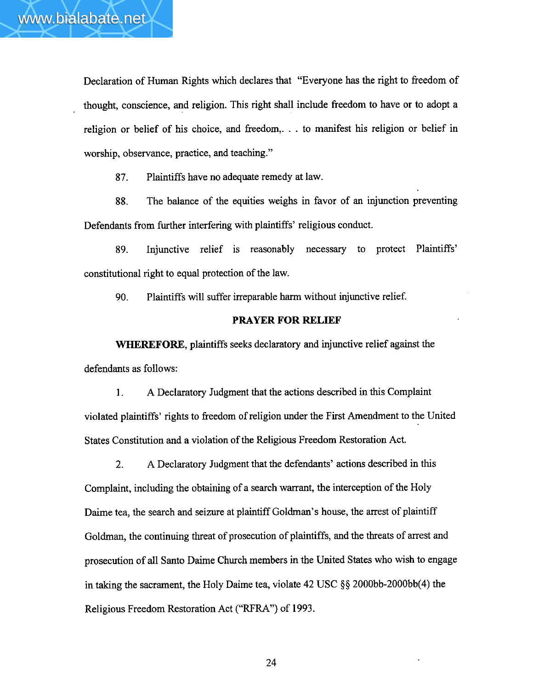Declaration of Human Rights which declares that "Everyone has the right to freedom of thought, conscience, and religion. This right shall include freedom to have or to adopt a religion or belief of his choice, and freedom,. . . to manifest his religion or belief in worship, observance, practice, and teaching."

**87.** Plaintiffs have no adequate remedy at law.

**88.** The balance of the equities weighs in favor of an injunction preventing Defendants from further interfering with plaintiffs' religious conduct.

89. Injunctive relief is reasonably necessary to protect Plaintiffs' constitutional right to equal protection of the law.

*90.* Plaintiffs will suffer irreparable harm without injunctive relief.

### **PRAYER FOR RELIEF**

**WHEREFORE**, plaintiffs seeks declaratory and injunctive relief against the defendants as follows:

1. A Declaratory Judgment that the actions described in this Complaint violated plaintiffs' rights to fieedom of religion under the First Amendment to the United States Constitution and a violation of the Religious Freedom Restoration Act.

2. A Declaratory Judgment that the defendants' actions described in this Complaint, including the obtaining of a search warrant, the interception of the Holy Dairne tea, the search and seizure at plaintiff Goldman's house, the arrest of plaintiff Goldman, the continuing threat of prosecution of plaintiffs, and the threats of arrest and prosecution of dl Santo Daime Church members in the United States who wish to engage in taking the sacrament, the Holy Dairne tea, violate 42 **USC \$9** 2000bb-2000bb(4) the Religious Freedom Restoration Act ("RFRA") of 1993.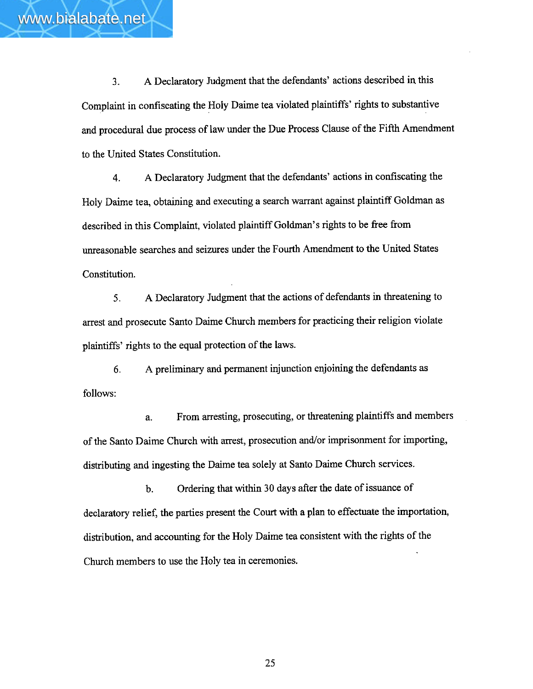**3.** A Declaratory Judgment that the defendants' actions described in this Complaint in confiscating the Holy Daime tea violated plaintiffs' rights to substantive and procedural due process of law under the Due Process Clause of the Fifth Amendment to the United States Constitution.

**4.** A Declaratory Judgment that the defendants' actions in confiscating the Holy Daime tea, obtaining and executing a search warrant against plaintiff Goldman as described in this Complaint, violated plaintiff Goldman's rights to be free from unreasonable searches and seizures under the Fourth Amendment to the United States Constitution.

**5.** A Declaratory Judgment that the actions of defendants in threatening to arrest and prosecute Santo Daime Church members for practicing their religion violate plaintiffs' rights to **the** equal protection of the laws.

**6.** A preliminary and permanent injunction enjoining the defendants as follows:

**a.** From arresting, prosecuting, or threatening plaintiffs and members of the Santo Daime Church with arrest, prosecution and/or imprisonment for importing, distributing and ingesting the Daime tea solely at Santo Daime Church services.

b. Ordering that within 30 days after the date of issuance of declaratory relief, the parties present the Court with a plan to effectuate the importation, distribution, and accounting for the Holy Daime tea consistent with the rights of the Church members to use the Holy tea in ceremonies.